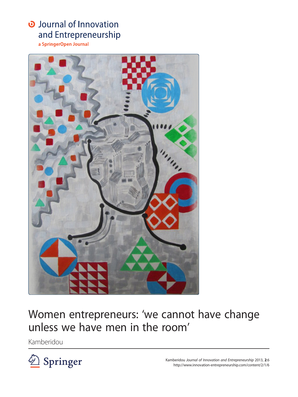# O Journal of Innovation and Entrepreneurship

a SpringerOpen Journal



# Women entrepreneurs: 'we cannot have change unless we have men in the room'

Kamberidou

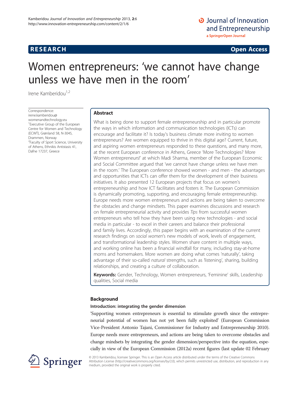# **RESEARCH RESEARCH CONSUMING ACCESS**

# Women entrepreneurs: 'we cannot have change unless we have men in the room'

Irene Kamberidou<sup>1,2</sup>

Correspondence: irene.kamberidou@ womenandtechnology.eu 1 Executive Group of the European Centre for Women and Technology (ECWT), Grønland 58, N-3045, Drammen, Norway <sup>2</sup> Faculty of Sport Science, University of Athens, Ethnikis Antistasis 41, Dafne 17237, Greece

# Abstract

What is being done to support female entrepreneurship and in particular promote the ways in which information and communication technologies (ICTs) can encourage and facilitate it? Is today's business climate more inviting to women entrepreneurs? Are women equipped to thrive in this digital age? Current, future, and aspiring women entrepreneurs responded to these questions, and many more, at the recent European conference in Athens, Greece 'More Technologies? More Women entrepreneurs!' at which Madi Sharma, member of the European Economic and Social Committee argued that 'we cannot have change unless we have men in the room.' The European conference showed women - and men - the advantages and opportunities that ICTs can offer them for the development of their business initiatives. It also presented 12 European projects that focus on women's entrepreneurship and how ICT facilitates and fosters it. The European Commission is dynamically promoting, supporting, and encouraging female entrepreneurship. Europe needs more women entrepreneurs and actions are being taken to overcome the obstacles and change mindsets. This paper examines discussions and research on female entrepreneurial activity and provides Tips from successful women entrepreneurs who tell how they have been using new technologies - and social media in particular - to excel in their careers and balance their professional and family lives. Accordingly, this paper begins with an examination of the current research findings on social women's new models of work, levels of engagement, and transformational leadership styles. Women share content in multiple ways, and working online has been a financial windfall for many, including stay-at-home moms and homemakers. More women are doing what comes 'naturally', taking advantage of their so-called natural strengths, such as 'listening', sharing, building relationships, and creating a culture of collaboration.

Keywords: Gender, Technology, Women entrepreneurs, 'Feminine' skills, Leadership qualities, Social media

# Background

# Introduction: integrating the gender dimension

'Supporting women entrepreneurs is essential to stimulate growth since the entrepreneurial potential of women has not yet been fully exploited' (European Commission Vice-President Antonio Tajani, Commissioner for Industry and Entrepreneurship 2010). Europe needs more entrepreneurs, and actions are being taken to overcome obstacles and change mindsets by integrating the gender dimension/perspective into the equation, especially in view of the European Commission ([2012a\)](#page-16-0) recent figures (last update 02 February



© 2013 Kamberidou; licensee Springer. This is an Open Access article distributed under the terms of the Creative Commons Attribution License [\(http://creativecommons.org/licenses/by/2.0\)](http://creativecommons.org/licenses/by/2.0), which permits unrestricted use, distribution, and reproduction in any medium, provided the original work is properly cited.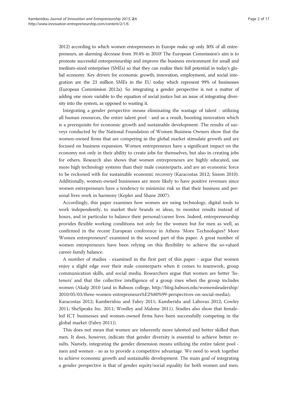2012) according to which women entrepreneurs in Europe make up only 30% of all entrepreneurs, an alarming decrease from 39.4% in 2010! The European Commission's aim is to promote successful entrepreneurship and improve the business environment for small and medium-sized enterprises (SMEs) so that they can realize their full potential in today's global economy. Key drivers for economic growth, innovation, employment, and social integration are the 23 million SMEs in the EU today which represent 99% of businesses (European Commission [2012a](#page-16-0)). So integrating a gender perspective is not a matter of adding one more variable to the equation of social justice but an issue of integrating diversity into the system, as opposed to wasting it.

Integrating a gender perspective means eliminating the wastage of talent - utilizing all human resources, the entire talent pool - and as a result, boosting innovation which is a prerequisite for economic growth and sustainable development. The results of surveys conducted by the National Foundation of Women Business Owners show that the women-owned firms that are competing in the global market stimulate growth and are focused on business expansion. Women entrepreneurs have a significant impact on the economy not only in their ability to create jobs for themselves, but also in creating jobs for others. Research also shows that women entrepreneurs are highly educated, use more high technology systems than their male counterparts, and are an economic force to be reckoned with for sustainable economic recovery (Karacostas [2012](#page-16-0); Sisson [2010](#page-16-0)). Additionally, women-owned businesses are more likely to have positive revenues since women entrepreneurs have a tendency to minimize risk so that their business and personal lives work in harmony (Kepler and Shane [2007](#page-16-0)).

Accordingly, this paper examines how women are using technology, digital tools to work independently, to market their brands or ideas, to monitor results instead of hours, and in particular to balance their personal/career lives. Indeed, entrepreneurship provides flexible working conditions not only for the women but for men as well, as confirmed in the recent European conference in Athens 'More Technologies? More Women entrepreneurs!' examined in the second part of this paper. A great number of women entrepreneurs have been relying on this flexibility to achieve the so-valued career-family balance.

A number of studies - examined in the first part of this paper - argue that women enjoy a slight edge over their male counterparts when it comes to teamwork, group communication skills, and social media. Researchers argue that women are better 'listeners' and that the collective intelligence of a group rises when the group includes women (Akalp [2010](#page-16-0) (and in Babson college, [http://blog.babson.edu/womensleadership/](http://blog.babson.edu/womensleadership/2010/05/03/three-women-entrepreneurs%E2%80%99-perspectives-on-social-media) [2010/05/03/three-women-entrepreneurs%E2%80%99-perspectives-on-social-media](http://blog.babson.edu/womensleadership/2010/05/03/three-women-entrepreneurs%E2%80%99-perspectives-on-social-media));

Karacostas [2012;](#page-16-0) Kamberidou and Fabry [2011;](#page-16-0) Kamberidu and Labovas [2012;](#page-16-0) Cowley [2011](#page-16-0); SheSpeaks Inc. [2011](#page-16-0); Woolley and Malone [2011](#page-17-0)). Studies also show that femaleled ICT businesses and women-owned firms have been successfully competing in the global market (Fabry [2011\)](#page-16-0)).

This does not mean that women are inherently more talented and better skilled than men. It does, however, indicate that gender diversity is essential to achieve better results. Namely, integrating the gender dimension means utilizing the entire talent pool men and women - so as to provide a competitive advantage. We need to work together to achieve economic growth and sustainable development. The main goal of integrating a gender perspective is that of gender equity/social equality for both women and men.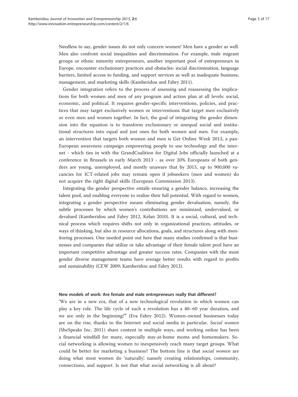Needless to say, gender issues do not only concern women! Men have a gender as well. Men also confront social inequalities and discrimination. For example, male migrant groups or ethnic minority entrepreneurs, another important pool of entrepreneurs in Europe, encounter exclusionary practices and obstacles: social discrimination, language barriers, limited access to funding, and support services as well as inadequate business, management, and marketing skills (Kamberidou and Fabry [2011\)](#page-16-0).

Gender integration refers to the process of assessing and reassessing the implications for both women and men of any program and action plan at all levels: social, economic, and political. It requires gender-specific interventions, policies, and practices that may target exclusively women or interventions that target men exclusively or even men and women together. In fact, the goal of integrating the gender dimension into the equation is to transform exclusionary or unequal social and institutional structures into equal and just ones for both women and men. For example, an intervention that targets both women and men is Get Online Week 2013, a pan-European awareness campaign empowering people to use technology and the internet - which ties in with the GrandCoalition for Digital Jobs officially launched at a conference in Brussels in early March 2013 - as over 20% Europeans of both genders are young, unemployed, and mostly unaware that by 2015, up to 900,000 vacancies for ICT-related jobs may remain open if jobseekers (men and women) do not acquire the right digital skills (European Commission [2013\)](#page-16-0).

Integrating the gender perspective entails ensuring a gender balance, increasing the talent pool, and enabling everyone to realize their full potential. With regard to women, integrating a gender perspective means eliminating gender devaluation, namely, the subtle processes by which women's contributions are minimized, undervalued, or devalued (Kamberidou and Fabry [2012](#page-16-0), Kelan [2010](#page-16-0)). It is a social, cultural, and technical process which requires shifts not only in organizational practices, attitudes, or ways of thinking, but also in resource allocations, goals, and structures along with monitoring processes. One needed point out here that many studies confirmed is that businesses and companies that utilize or take advantage of their female talent pool have an important competitive advantage and greater success rates. Companies with the most gender diverse management teams have average better results with regard to profits and sustainability (CEW [2009;](#page-16-0) Kamberidou and Fabry [2012](#page-16-0)).

#### New models of work: Are female and male entrepreneurs really that different?

'We are in a new era, that of a new technological revolution in which women can play a key role. The life cycle of such a revolution has a 40–60 year duration, and we are only in the beginning!<sup>"</sup> (Eva Fabry 2012). Women-owned businesses today are on the rise, thanks to the Internet and social media in particular. Social women (SheSpeaks Inc. [2011\)](#page-16-0) share content in multiple ways, and working online has been a financial windfall for many, especially stay-at-home moms and homemakers. Social networking is allowing women to inexpensively reach many target groups. What could be better for marketing a business? The bottom line is that social women are doing what most women do 'naturally', namely creating relationships, community, connections, and support. Is not that what social networking is all about?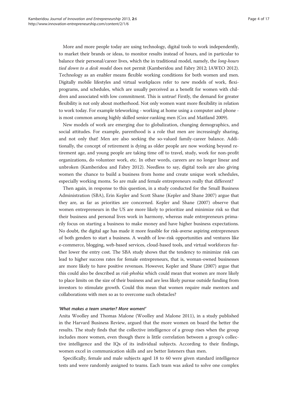More and more people today are using technology, digital tools to work independently, to market their brands or ideas, to monitor results instead of hours, and in particular to balance their personal/career lives, which the in traditional model, namely, the long-hours tied down to a desk model does not permit (Kamberidou and Fabry [2012](#page-16-0); IAWEO [2012](#page-16-0)). Technology as an enabler means flexible working conditions for both women and men. Digitally mobile lifestyles and virtual workplaces refer to new models of work, flexiprograms, and schedules, which are usually perceived as a benefit for women with children and associated with low commitment. This is untrue! Firstly, the demand for greater flexibility is not only about motherhood. Not only women want more flexibility in relation to work today. For example teleworking - working at home using a computer and phone is most common among highly skilled senior-ranking men (Cox and Maitland [2009](#page-16-0)).

New models of work are emerging due to globalization, changing demographics, and social attitudes. For example, parenthood is a role that men are increasingly sharing, and not only that! Men are also seeking the so-valued family-career balance. Additionally, the concept of retirement is dying as older people are now working beyond retirement age, and young people are taking time off to travel, study, work for non-profit organizations, do volunteer work, etc. In other words, careers are no longer linear and unbroken (Kamberidou and Fabry [2012\)](#page-16-0). Needless to say, digital tools are also giving women the chance to build a business from home and create unique work schedules, especially working moms. So are male and female entrepreneurs really that different?

Then again, in response to this question, in a study conducted for the Small Business Administration (SBA), Erin Kepler and Scott Shane (Kepler and Shane [2007\)](#page-16-0) argue that they are, as far as priorities are concerned. Kepler and Shane [\(2007\)](#page-16-0) observe that women entrepreneurs in the US are more likely to prioritize and minimize risk so that their business and personal lives work in harmony, whereas male entrepreneurs primarily focus on starting a business to make money and have higher business expectations. No doubt, the digital age has made it more feasible for risk-averse aspiring entrepreneurs of both genders to start a business. A wealth of low-risk opportunities and ventures like e-commerce, blogging, web-based services, cloud-based tools, and virtual workforces further lower the entry cost. The SBA study shows that the tendency to minimize risk can lead to higher success rates for female entrepreneurs, that is, woman-owned businesses are more likely to have positive revenues. However, Kepler and Shane [\(2007\)](#page-16-0) argue that this could also be described as risk-phobia which could mean that women are more likely to place limits on the size of their business and are less likely pursue outside funding from investors to stimulate growth. Could this mean that women require male mentors and collaborations with men so as to overcome such obstacles?

#### 'What makes a team smarter? More women!'

Anita Woolley and Thomas Malone (Woolley and Malone [2011](#page-17-0)), in a study published in the Harvard Business Review, argued that the more women on board the better the results. The study finds that the collective intelligence of a group rises when the group includes more women, even though there is little correlation between a group's collective intelligence and the IQs of its individual subjects. According to their findings, women excel in communication skills and are better listeners than men.

Specifically, female and male subjects aged 18 to 60 were given standard intelligence tests and were randomly assigned to teams. Each team was asked to solve one complex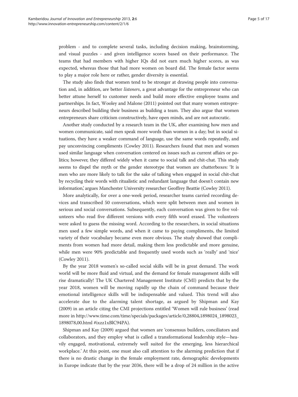problem - and to complete several tasks, including decision making, brainstorming, and visual puzzles - and given intelligence scores based on their performance. The teams that had members with higher IQs did not earn much higher scores, as was expected, whereas those that had more women on board did. The female factor seems to play a major role here or rather, gender diversity is essential.

The study also finds that women tend to be stronger at drawing people into conversation and, in addition, are better *listeners*, a great advantage for the entrepreneur who can better attune herself to customer needs and build more effective employee teams and partnerships. In fact, Wooley and Malone (2011) pointed out that many women entrepreneurs described building their business as building a team. They also argue that women entrepreneurs share criticism constructively, have open minds, and are not autocratic.

Another study conducted by a research team in the UK, after examining how men and women communicate, said men speak more words than women in a day; but in social situations, they have a weaker command of language, use the same words repeatedly, and pay unconvincing compliments (Cowley [2011](#page-16-0)). Researchers found that men and women used similar language when conversation centered on issues such as current affairs or politics; however, they differed widely when it came to social talk and chit-chat. This study seems to dispel the myth or the gender stereotype that women are chatterboxes: 'It is men who are more likely to talk for the sake of talking when engaged in social chit-chat by recycling their words with ritualistic and redundant language that doesn't contain new information,' argues Manchester University researcher Geoffrey Beattie (Cowley [2011](#page-16-0)).

More analytically, for over a one-week period, researcher teams carried recording devices and transcribed 50 conversations, which were split between men and women in serious and social conversations. Subsequently, each conversation was given to five volunteers who read five different versions with every fifth word erased. The volunteers were asked to guess the missing word. According to the researchers, in social situations men used a few simple words, and when it came to paying compliments, the limited variety of their vocabulary became even more obvious. The study showed that compliments from women had more detail, making them less predictable and more genuine, while men were 90% predictable and frequently used words such as 'really' and 'nice' (Cowley [2011](#page-16-0)).

By the year 2018 women's so-called social skills will be in great demand. The work world will be more fluid and virtual, and the demand for female management skills will rise dramatically! The UK Chartered Management Institute (CMI) predicts that by the year 2018, women will be moving rapidly up the chain of command because their emotional intelligence skills will be indispensable and valued. This trend will also accelerate due to the alarming talent shortage, as argued by Shipman and Kay (2009) in an article citing the CMI projections entitled 'Women will rule business' (read more in [http://www.time.com/time/specials/packages/article/0,28804,1898024\\_1898023\\_](http://www.time.com/time/specials/packages/article/0,28804,1898024_1898023_1898078,00.html) [1898078,00.html](http://www.time.com/time/specials/packages/article/0,28804,1898024_1898023_1898078,00.html) #ixzz1xBlC94PA).

Shipman and Kay [\(2009](#page-16-0)) argued that women are 'consensus builders, conciliators and collaborators, and they employ what is called a transformational leadership style—heavily engaged, motivational, extremely well suited for the emerging, less hierarchical workplace.' At this point, one must also call attention to the alarming prediction that if there is no drastic change in the female employment rate, demographic developments in Europe indicate that by the year 2036, there will be a drop of 24 million in the active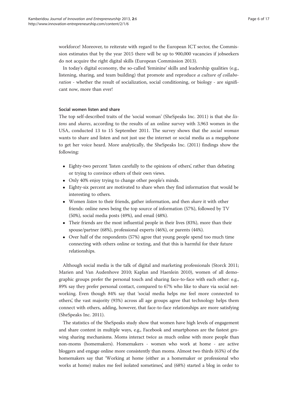workforce! Moreover, to reiterate with regard to the European ICT sector, the Commission estimates that by the year 2015 there will be up to 900,000 vacancies if jobseekers do not acquire the right digital skills (European Commission [2013\)](#page-16-0).

In today's digital economy, the so-called 'feminine' skills and leadership qualities (e.g., listening, sharing, and team building) that promote and reproduce a culture of collaboration - whether the result of socialization, social conditioning, or biology - are significant now, more than ever!

#### Social women listen and share

The top self-described traits of the 'social woman' (SheSpeaks Inc. [2011](#page-16-0)) is that she listens and shares, according to the results of an online survey with 3,963 women in the USA, conducted 13 to 15 September 2011. The survey shows that the social woman wants to share and listen and not just use the internet or social media as a megaphone to get her voice heard. More analytically, the SheSpeaks Inc. (2011) findings show the following:

- Eighty-two percent 'listen carefully to the opinions of others', rather than debating or trying to convince others of their own views.
- Only 40% enjoy trying to change other people's minds.
- Eighty-six percent are motivated to share when they find information that would be interesting to others.
- Women listen to their friends, gather information, and then share it with other friends: online news being the top source of information (57%), followed by TV (50%), social media posts (49%), and email (48%).
- Their friends are the most influential people in their lives (83%), more than their spouse/partner (68%), professional experts (46%), or parents (44%).
- Over half of the respondents (57%) agree that young people spend too much time connecting with others online or texting, and that this is harmful for their future relationships.

Although social media is the talk of digital and marketing professionals (Storck [2011](#page-16-0); Marien and Van Audenhove [2010;](#page-16-0) Kaplan and Haenlein [2010](#page-16-0)), women of all demographic groups prefer the personal touch and sharing face-to-face with each other: e.g., 89% say they prefer personal contact, compared to 67% who like to share via social networking. Even though 84% say that 'social media helps me feel more connected to others', the vast majority (93%) across all age groups agree that technology helps them connect with others, adding, however, that face-to-face relationships are more satisfying (SheSpeaks Inc. [2011](#page-16-0)).

The statistics of the SheSpeaks study show that women have high levels of engagement and share content in multiple ways, e.g., Facebook and smartphones are the fastest growing sharing mechanisms. Moms interact twice as much online with more people than non-moms (homemakers). Homemakers - women who work at home - are active bloggers and engage online more consistently than moms. Almost two thirds (63%) of the homemakers say that 'Working at home (either as a homemaker or professional who works at home) makes me feel isolated sometimes', and (68%) started a blog in order to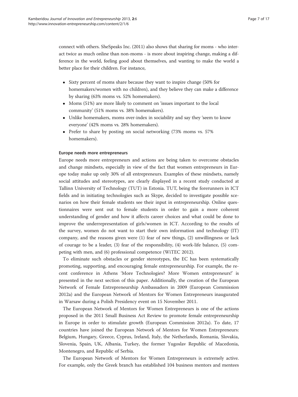connect with others. SheSpeaks Inc. [\(2011](#page-16-0)) also shows that sharing for moms - who interact twice as much online than non-moms - is more about inspiring change, making a difference in the world, feeling good about themselves, and wanting to make the world a better place for their children. For instance,

- Sixty percent of moms share because they want to inspire change (50% for homemakers/women with no children), and they believe they can make a difference by sharing (63% moms vs. 52% homemakers).
- Moms (51%) are more likely to comment on 'issues important to the local community' (51% moms vs. 38% homemakers).
- Unlike homemakers, moms over-index in sociability and say they 'seem to know everyone' (42% moms vs. 28% homemakers).
- Prefer to share by posting on social networking (73% moms vs. 57%) homemakers).

#### Europe needs more entrepreneurs

Europe needs more entrepreneurs and actions are being taken to overcome obstacles and change mindsets, especially in view of the fact that women entrepreneurs in Europe today make up only 30% of all entrepreneurs. Examples of these mindsets, namely social attitudes and stereotypes, are clearly displayed in a recent study conducted at Tallinn University of Technology (TUT) in Estonia. TUT, being the forerunners in ICT fields and in initiating technologies such as Skype, decided to investigate possible scenarios on how their female students see their input in entrepreneurship. Online questionnaires were sent out to female students in order to gain a more coherent understanding of gender and how it affects career choices and what could be done to improve the underrepresentation of girls/women in ICT. According to the results of the survey, women do not want to start their own information and technology (IT) company, and the reasons given were (1) fear of new things, (2) unwillingness or lack of courage to be a leader, (3) fear of the responsibility, (4) work-life balance, (5) competing with men, and (6) professional competence (WiTEC [2012\)](#page-17-0).

To eliminate such obstacles or gender stereotypes, the EC has been systematically promoting, supporting, and encouraging female entrepreneurship. For example, the recent conference in Athens 'More Technologies? More Women entrepreneurs!' is presented in the next section of this paper. Additionally, the creation of the European Network of Female Entrepreneurship Ambassadors in 2009 (European Commission [2012a\)](#page-16-0) and the European Network of Mentors for Women Entrepreneurs inaugurated in Warsaw during a Polish Presidency event on 15 November 2011.

The European Network of Mentors for Women Entrepreneurs is one of the actions proposed in the 2011 Small Business Act Review to promote female entrepreneurship in Europe in order to stimulate growth (European Commission [2012a\)](#page-16-0). To date, 17 countries have joined the European Network of Mentors for Women Entrepreneurs: Belgium, Hungary, Greece, Cyprus, Ireland, Italy, the Netherlands, Romania, Slovakia, Slovenia, Spain, UK, Albania, Turkey, the former Yugoslav Republic of Macedonia, Montenegro, and Republic of Serbia.

The European Network of Mentors for Women Entrepreneurs is extremely active. For example, only the Greek branch has established 104 business mentors and mentees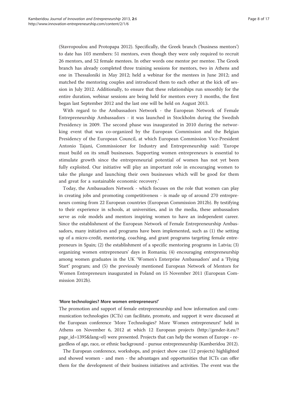(Stavropoulou and Protopapa [2012](#page-16-0)). Specifically, the Greek branch ('business mentors') to date has 103 members: 51 mentors, even though they were only required to recruit 26 mentors, and 52 female mentees. In other words one mentor per mentee. The Greek branch has already completed three training sessions for mentors, two in Athens and one in Thessaloniki in May 2012; held a webinar for the mentees in June 2012; and matched the mentoring couples and introduced them to each other at the kick off session in July 2012. Additionally, to ensure that these relationships run smoothly for the entire duration, webinar sessions are being held for mentors every 3 months, the first began last September 2012 and the last one will be held on August 2013.

With regard to the Ambassadors Network - the European Network of Female Entrepreneurship Ambassadors - it was launched in Stockholm during the Swedish Presidency in 2009. The second phase was inaugurated in 2010 during the networking event that was co-organized by the European Commission and the Belgian Presidency of the European Council, at which European Commission Vice-President Antonio Tajani, Commissioner for Industry and Entrepreneurship said: 'Europe must build on its small businesses. Supporting women entrepreneurs is essential to stimulate growth since the entrepreneurial potential of women has not yet been fully exploited. Our initiative will play an important role in encouraging women to take the plunge and launching their own businesses which will be good for them and great for a sustainable economic recovery.'

Today, the Ambassadors Network - which focuses on the role that women can play in creating jobs and promoting competitiveness - is made up of around 270 entrepreneurs coming from 22 European countries (European Commission [2012b](#page-16-0)). By testifying to their experience in schools, at universities, and in the media, these ambassadors serve as role models and mentors inspiring women to have an independent career. Since the establishment of the European Network of Female Entrepreneurship Ambassadors, many initiatives and programs have been implemented, such as (1) the setting up of a micro-credit, mentoring, coaching, and grant programs targeting female entrepreneurs in Spain; (2) the establishment of a specific mentoring programs in Latvia; (3) organizing women entrepreneurs' days in Romania; (4) encouraging entrepreneurship among women graduates in the UK 'Women's Enterprise Ambassadors' and a 'Flying Start' program; and (5) the previously mentioned European Network of Mentors for Women Entrepreneurs inaugurated in Poland on 15 November 2011 (European Commission [2012b\)](#page-16-0).

#### 'More technologies? More women entrepreneurs!'

The promotion and support of female entrepreneurship and how information and communication technologies (ICTs) can facilitate, promote, and support it were discussed at the European conference 'More Technologies? More Women entrepreneurs!' held in Athens on November 6, 2012 at which 12 European projects [\(http://gender-it.eu/?](http://gender-it.eu/?page_id=1395&lang=el) [page\\_id=1395&lang=el](http://gender-it.eu/?page_id=1395&lang=el)) were presented. Projects that can help the women of Europe - regardless of age, race, or ethnic background - pursue entrepreneurship (Kamberidou [2012](#page-16-0)).

The European conference, workshops, and project show case (12 projects) highlighted and showed women - and men - the advantages and opportunities that ICTs can offer them for the development of their business initiatives and activities. The event was the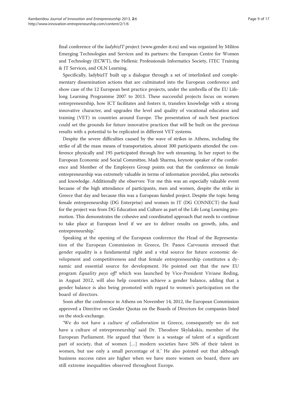final conference of the ladybizIT project ([www.gender-it.eu\)](http://www.gender-it.eu/) and was organized by Militos Emerging Technologies and Services and its partners: the European Centre for Women and Technology (ECWT), the Hellenic Professionals Informatics Society, ITEC Training & IT Services, and OLN Learning.

Specifically, ladybizIT built up a dialogue through a set of interlinked and complementary dissemination actions that are culminated into the European conference and show case of the 12 European best practice projects, under the umbrella of the EU Lifelong Learning Programme 2007 to 2013. These successful projects focus on women entrepreneurship, how ICT facilitates and fosters it, transfers knowledge with a strong innovative character, and upgrades the level and quality of vocational education and training (VET) in countries around Europe. The presentation of such best practices could set the grounds for future innovative practices that will be built on the previous results with a potential to be replicated in different VET systems.

Despite the severe difficulties caused by the wave of strikes in Athens, including the strike of all the mass means of transportation, almost 300 participants attended the conference physically and 195 participated through live web streaming. In her report to the European Economic and Social Committee, Madi Sharma, keynote speaker of the conference and Member of the Employers Group points out that the conference on female entrepreneurship was extremely valuable in terms of information provided, plus networks and knowledge. Additionally she observes: 'For me this was an especially valuable event because of the high attendance of participants, men and women, despite the strike in Greece that day and because this was a European funded project. Despite the topic being female entrepreneurship (DG Enterprise) and women in IT (DG CONNECT) the fund for the project was from DG Education and Culture as part of the Life Long Learning promotion. This demonstrates the cohesive and coordinated approach that needs to continue to take place at European level if we are to deliver results on growth, jobs, and entrepreneurship.'

Speaking at the opening of the European conference the Head of the Representation of the European Commission in Greece, Dr. Panos Carvounis stressed that gender equality is a fundamental right and a vital source for future economic development and competitiveness and that female entrepreneurship constitutes a dynamic and essential source for development. He pointed out that the new EU program Equality pays off! which was launched by Vice-President Viviane Reding, in August 2012, will also help countries achieve a gender balance, adding that a gender balance is also being promoted with regard to women's participation on the board of directors.

Soon after the conference in Athens on November 14, 2012, the European Commission approved a Directive on Gender Quotas on the Boards of Directors for companies listed on the stock-exchange.

'We do not have a culture of collaboration in Greece, consequently we do not have a culture of entrepreneurship' said Dr. Theodore Skylakakis, member of the European Parliament. He argued that 'there is a wastage of talent of a significant part of society, that of women […] modern societies have 50% of their talent in women, but use only a small percentage of it.' He also pointed out that although business success rates are higher when we have more women on board, there are still extreme inequalities observed throughout Europe.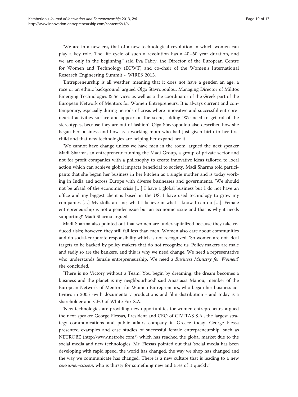'We are in a new era, that of a new technological revolution in which women can play a key role. The life cycle of such a revolution has a 40–60 year duration, and we are only in the beginning!' said Eva Fabry, the Director of the European Centre for Women and Technology (ECWT) and co-chair of the Women's International Research Engineering Summit - WIRES 2013.

'Entrepreneurship is all weather, meaning that it does not have a gender, an age, a race or an ethnic background' argued Olga Stavropoulou, Managing Director of Militos Emerging Technologies & Services as well as a the coordinator of the Greek part of the European Network of Mentors for Women Entrepreneurs. It is always current and contemporary, especially during periods of crisis where innovative and successful entrepreneurial activities surface and appear on the scene, adding 'We need to get rid of the stereotypes, because they are out of fashion'. Olga Stavropoulou also described how she began her business and how as a working mom who had just given birth to her first child and that new technologies are helping her expand her it.

'We cannot have change unless we have men in the room', argued the next speaker Madi Sharma, an entrepreneur running the Madi Group, a group of private sector and not for profit companies with a philosophy to create innovative ideas tailored to local action which can achieve global impacts beneficial to society. Madi Sharma told participants that she began her business in her kitchen as a single mother and is today working in India and across Europe with diverse businesses and governments. 'We should not be afraid of the economic crisis […] I have a global business but I do not have an office and my biggest client is based in the US. I have used technology to grow my companies […] My skills are me, what I believe in what I know I can do […]. Female entrepreneurship is not a gender issue but an economic issue and that is why it needs supporting!' Madi Sharma argued.

Madi Sharma also pointed out that women are undercapitalized because they take reduced risks; however, they still fail less than men. Women also care about communities and do social-corporate responsibility which is not recognized. 'So women are not ideal targets to be backed by policy makers that do not recognize us. Policy makers are male and sadly so are the bankers, and this is why we need change. We need a representative who understands female entrepreneurship. We need a Business Ministry for Women!' she concluded.

'There is no Victory without a Team! You begin by dreaming, the dream becomes a business and the planet is my neighbourhood' said Anastasia Manou, member of the European Network of Mentors for Women Entrepreneurs, who began her business activities in 2005 -with documentary productions and film distribution - and today is a shareholder and CEO of White Fox S.A.

'New technologies are providing new opportunities for women entrepreneurs' argued the next speaker George Flessas, President and CEO of CIVITAS S.A., the largest strategy communications and public affairs company in Greece today. George Flessa presented examples and case studies of successful female entrepreneurship, such as NETROBE (<http://www.netrobe.com/>) which has reached the global market due to the social media and new technologies. Mr. Flessas pointed out that 'social media has been developing with rapid speed, the world has changed, the way we shop has changed and the way we communicate has changed. There is a new culture that is leading to a new consumer-citizen, who is thirsty for something new and tires of it quickly.'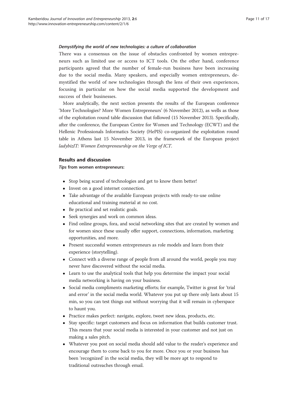#### Demystifying the world of new technologies: a culture of collaboration

There was a consensus on the issue of obstacles confronted by women entrepreneurs such as limited use or access to ICT tools. On the other hand, conference participants agreed that the number of female-run business have been increasing due to the social media. Many speakers, and especially women entrepreneurs, demystified the world of new technologies through the lens of their own experiences, focusing in particular on how the social media supported the development and success of their businesses.

More analytically, the next section presents the results of the European conference 'More Technologies? More Women Entrepreneurs' (6 November 2012), as wells as those of the exploitation round table discussion that followed (15 November 2013). Specifically, after the conference, the European Centre for Women and Technology (ECWT) and the Hellenic Professionals Informatics Society (ΗePIS) co-organized the exploitation round table in Athens last 15 November 2013, in the framework of the European project ladybizIT: Women Entrepreneurship on the Verge of ICT.

# Results and discussion

Tips from women entrepreneurs:

- Stop being scared of technologies and get to know them better!
- Invest on a good internet connection.
- Take advantage of the available European projects with ready-to-use online educational and training material at no cost.
- Be practical and set realistic goals.
- Seek synergies and work on common ideas.
- Find online groups, fora, and social networking sites that are created by women and for women since these usually offer support, connections, information, marketing opportunities, and more.
- Present successful women entrepreneurs as role models and learn from their experience (storytelling).
- Connect with a diverse range of people from all around the world, people you may never have discovered without the social media.
- Learn to use the analytical tools that help you determine the impact your social media networking is having on your business.
- Social media compliments marketing efforts; for example, Twitter is great for 'trial and error' in the social media world. Whatever you put up there only lasts about 15 min, so you can test things out without worrying that it will remain in cyberspace to haunt you.
- Practice makes perfect: navigate, explore, tweet new ideas, products, etc.
- Stay specific: target customers and focus on information that builds customer trust. This means that your social media is interested in your customer and not just on making a sales pitch.
- Whatever you post on social media should add value to the reader's experience and encourage them to come back to you for more. Once you or your business has been 'recognized' in the social media, they will be more apt to respond to traditional outreaches through email.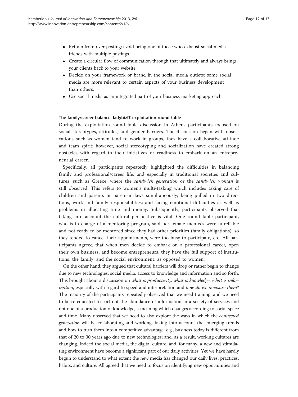- Refrain from over posting; avoid being one of those who exhaust social media friends with multiple postings.
- Create a circular flow of communication through that ultimately and always brings your clients back to your website.
- Decide on your framework or brand in the social media outlets: some social media are more relevant to certain aspects of your business development than others.
- Use social media as an integrated part of your business marketing approach.

# The family/career balance: ladybizIT exploitation round table

During the exploitation round table discussion in Athens participants focused on social stereotypes, attitudes, and gender barriers. The discussion began with observations such as women tend to work in groups, they have a collaborative attitude and team spirit; however, social stereotyping and socialization have created strong obstacles with regard to their initiatives or readiness to embark on an entrepreneurial career.

Specifically, all participants repeatedly highlighted the difficulties in balancing family and professional/career life, and especially in traditional societies and cultures, such as Greece, where the sandwich generation or the sandwich woman is still observed. This refers to women's multi-tasking which includes taking care of children and parents or parent-in-laws simultaneously; being pulled in two directions, work and family responsibilities; and facing emotional difficulties as well as problems in allocating time and money. Subsequently, participants observed that taking into account the cultural perspective is vital. One round table participant, who is in charge of a mentoring program, said her female mentees were unreliable and not ready to be mentored since they had other priorities (family obligations), so they tended to cancel their appointments, were too busy to participate, etc. All participants agreed that when men decide to embark on a professional career, open their own business, and become entrepreneurs, they have the full support of institutions, the family, and the social environment, as opposed to women.

On the other hand, they argued that cultural barriers will drop or rather begin to change due to new technologies, social media, access to knowledge and information and so forth. This brought about a discussion on what is productivity, what is knowledge, what is information, especially with regard to speed and interpretation and how do we measure them? The majority of the participants repeatedly observed that we need training, and we need to be re-educated to sort out the abundance of information in a society of services and not one of a production of knowledge, a meaning which changes according to social space and time. Many observed that we need to also explore the ways in which the connected generation will be collaborating and working, taking into account the emerging trends and how to turn them into a competitive advantage; e.g., business today is different from that of 20 to 30 years ago due to new technologies; and, as a result, working cultures are changing. Indeed the social media, the digital culture, and, for many, a new and stimulating environment have become a significant part of our daily activities. Yet we have hardly begun to understand to what extent the new media has changed our daily lives, practices, habits, and culture. All agreed that we need to focus on identifying new opportunities and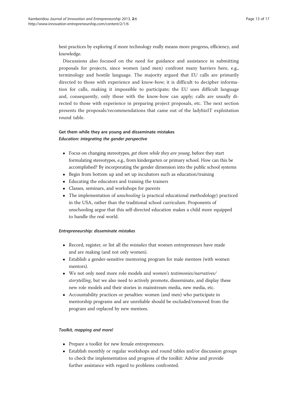best practices by exploring if more technology really means more progress, efficiency, and knowledge.

Discussions also focused on the need for guidance and assistance in submitting proposals for projects, since women (and men) confront many barriers here, e.g., terminology and hostile language. The majority argued that EU calls are primarily directed to those with experience and know-how; it is difficult to decipher information for calls, making it impossible to participate; the EU uses difficult language and, consequently, only those with the know-how can apply; calls are usually directed to those with experience in preparing project proposals, etc. The next section presents the proposals/recommendations that came out of the ladybizIT exploitation round table.

# Get them while they are young and disseminate mistakes Education: integrating the gender perspective

- Focus on changing stereotypes, *get them while they are young*, before they start formulating stereotypes, e.g., from kindergarten or primary school. How can this be accomplished? By incorporating the gender dimension into the public school systems
- Begin from bottom up and set up incubators such as education/training
- Εducating the educators and training the trainers
- Classes, seminars, and workshops for parents
- The implementation of *unschooling* (a practical educational methodology) practiced in the USA, rather than the traditional school curriculum. Proponents of unschooling argue that this self-directed education makes a child more equipped to handle the real world.

# Entrepreneurship: disseminate mistakes

- Record, register, or list all the *mistakes* that women entrepreneurs have made and are making (and not only women).
- Establish a gender-sensitive mentoring program for male mentees (with women mentors).
- We not only need more role models and women's testimonies/narratives/ storytelling, but we also need to actively promote, disseminate, and display these new role models and their stories in mainstream media, new media, etc.
- Accountability practices or penalties: women (and men) who participate in mentorship programs and are unreliable should be excluded/removed from the program and replaced by new mentees.

# Toolkit, mapping and more!

- Prepare a toolkit for new female entrepreneurs.
- Establish monthly or regular workshops and round tables and/or discussion groups to check the implementation and progress of the toolkit: Advise and provide further assistance with regard to problems confronted.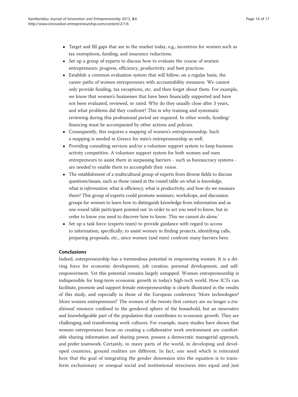- Target and fill gaps that are in the market today, e.g., incentives for women such as tax exemptions, funding, and insurance reductions.
- Set up a group of experts to discuss how to evaluate the course of women entrepreneurs: progress, efficiency, productivity, and best practices.
- Establish a common evaluation system that will follow, on a regular basis, the career paths of women entrepreneurs with accountability measures. We cannot only provide funding, tax exceptions, etc. and then forget about them. For example, we know that women's businesses that have been financially supported and have not been evaluated, reviewed, or rated. Why do they usually close after 3 years, and what problems did they confront? This is why training and systematic reviewing during this professional period are required. In other words, funding/ financing must be accompanied by other actions and policies.
- Consequently, this requires a mapping of women's entrepreneurship. Such a mapping is needed in Greece for men's entrepreneurship as well.
- Providing consulting services and/or a volunteer support system to keep business activity competitive. A volunteer support system for both women and men entrepreneurs to assist them in surpassing barriers - such as bureaucracy systems are needed to enable them to accomplish their vision.
- The establishment of a multicultural group of experts from diverse fields to discuss questions/issues, such as those raised at the round table on what is knowledge, what is *information*, what is efficiency, what is productivity, and how do we measure them? This group of experts could promote seminars, workshops, and discussion groups for women to learn how to distinguish knowledge from information and as one round table participant pointed out 'in order to act you need to know, but in order to know you need to discover how to know. This we cannot do alone.'
- Set up a task force (experts team) to provide guidance with regard to access to information, specifically, to assist women in finding projects, identifying calls, preparing proposals, etc., since women (and men) confront many barriers here.

# Conclusions

Indeed, entrepreneurship has a tremendous potential in empowering women. It is a driving force for economic development, job creation, personal development, and selfempowerment. Yet this potential remains largely untapped. Women entrepreneurship is indispensible for long-term economic growth in today's high-tech world. How ICTs can facilitate, promote and support female entrepreneurship is clearly illustrated in the results of this study, and especially in those of the European conference 'More technologies? More women entrepreneurs!' The women of the twenty-first century are no longer a traditional resource confined to the gendered sphere of the household, but an innovative and knowledgeable part of the population that contributes to economic growth. They are challenging and transforming work cultures. For example, many studies have shown that women entrepreneurs focus on creating a collaborative work environment are comfortable sharing information and sharing power, possess a democratic managerial approach, and prefer teamwork. Certainly, in many parts of the world, in developing and developed countries, ground realities are different. In fact, one need which is reiterated here that the goal of integrating the gender dimension into the equation is to transform exclusionary or unequal social and institutional structures into equal and just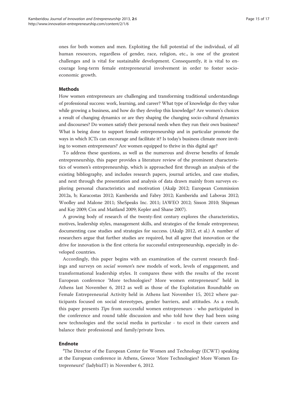ones for both women and men. Exploiting the full potential of the individual, of all human resources, regardless of gender, race, religion, etc., is one of the greatest challenges and is vital for sustainable development. Consequently, it is vital to encourage long-term female entrepreneurial involvement in order to foster socioeconomic growth.

#### **Methods**

How women entrepreneurs are challenging and transforming traditional understandings of professional success: work, learning, and career? What type of knowledge do they value while growing a business, and how do they develop this knowledge? Are women's choices a result of changing dynamics or are they shaping the changing socio-cultural dynamics and discourses? Do women satisfy their personal needs when they run their own business? What is being done to support female entrepreneurship and in particular promote the ways in which ICTs can encourage and facilitate it? Is today's business climate more inviting to women entrepreneurs? Are women equipped to thrive in this digital age?

To address these questions, as well as the numerous and diverse benefits of female entrepreneurship, this paper provides a literature review of the prominent characteristics of women's entrepreneurship, which is approached first through an analysis of the existing bibliography, and includes research papers, journal articles, and case studies, and next through the presentation and analysis of data drawn mainly from surveys exploring personal characteristics and motivation (Akalp [2012;](#page-16-0) European Commission [2012a](#page-16-0), [b;](#page-16-0) Karacostas [2012](#page-16-0); Kamberidu and Fabry [2012](#page-16-0); Kamberidu and Labovas [2012](#page-16-0); Woolley and Malone [2011](#page-17-0); SheSpeaks Inc. [2011;](#page-16-0) IAWEO [2012](#page-16-0); Sisson [2010;](#page-16-0) Shipman and Kay [2009](#page-16-0); Cox and Maitland [2009](#page-16-0); Kepler and Shane [2007](#page-16-0)).

A growing body of research of the twenty-first century explores the characteristics, motives, leadership styles, management skills, and strategies of the female entrepreneur, documenting case studies and strategies for success. (Akalp [2012](#page-16-0), et al.) A number of researchers argue that further studies are required, but all agree that innovation or the drive for innovation is the first criteria for successful entrepreneurship, especially in developed countries.

Accordingly, this paper begins with an examination of the current research findings and surveys on social women's new models of work, levels of engagement, and transformational leadership styles. It compares these with the results of the recent European conference 'More technologies? More women entrepreneurs!' held in Athens last November 6, 2012 as well as those of the Exploitation Roundtable on Female Entrepreneurial Activity held in Athens last November 15, 2012 where participants focused on social stereotypes, gender barriers, and attitudes. As a result, this paper presents Tips from successful women entrepreneurs - who participated in the conference and round table discussion and who told how they had been using new technologies and the social media in particular - to excel in their careers and balance their professional and family/private lives.

### Endnote

<sup>a</sup>The Director of the European Center for Women and Technology (ECWT) speaking at the European conference in Athens, Greece 'More Technologies? More Women Entrepreneurs!' (ladybizIT) in November 6, 2012.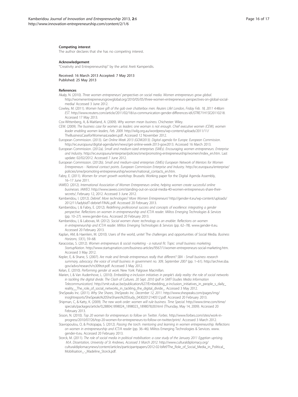#### <span id="page-16-0"></span>Competing interest

The author declares that she has no competing interest.

#### Acknowledgement

"Creativity and Entrepreneurship" by the artist Areti Kamperidis.

Received: 16 March 2013 Accepted: 7 May 2013 Published: 25 May 2013

#### References

- Akalp, N. (2010). Three women entrepreneurs' perspectives on social media. Women entrepreneurs grow global. [http://womenentrepreneursgrowglobal.org/2010/05/05/three-women-entrepreneurs-perspectives-on-global-social](http://womenentrepreneursgrowglobal.org/2010/05/05/three-women-entrepreneurs-perspectives-on-global-social-media/)[media/](http://womenentrepreneursgrowglobal.org/2010/05/05/three-women-entrepreneurs-perspectives-on-global-social-media/) Accessed 3 June 2012.
- Cowley, M. (2011). Women have gift of the gab over chatterbox men. Reuters Life! London, Friday Feb. 18, 2011 4:48am EST.<http://www.reuters.com/article/2011/02/18/us-communication-gender-differences-idUSTRE71H1SE20110218>. Accessed 17 May 2013.

Cox-Wittenberg, A, & Maitland, A. (2009). Why women mean business. Chichester: Wiley.

- CEW. (2009). The business case for women as leaders: one woman is not enough. Chief executive women (CEW), women leader enabling women leaders, Feb. 2009. [http://wilg.org.au/wordpress/wp-content/uploads/2011/11/](http://wilg.org.au/wordpress/wp-content/uploads/2011/11/TheBusinessCaseforWomenasLeaders.pdf) [TheBusinessCaseforWomenasLeaders.pdf.](http://wilg.org.au/wordpress/wp-content/uploads/2011/11/TheBusinessCaseforWomenasLeaders.pdf) Accessed 12 November 2012.
- European Commission. (2013). Get Online Week 2013 (GOW2013). Digital agenda for Europe. European Commission. [http://ec.europa.eu/digital-agenda/en/news/get-online-week-2013-gow2013.](http://ec.europa.eu/digital-agenda/en/news/get-online-week-2013-gow2013) Accessed 16 March 2013.
- European Commission. (2012a). Small and medium-sized enterprises (SMEs). Encouraging women entrepreneurs. Enterprise and Industry. [http://ec.europa.eu/enterprise/policies/sme/promoting-entrepreneurship/women/index\\_en.htm.](http://ec.europa.eu/enterprise/policies/sme/promoting-entrepreneurship/women/index_en.htm) Last update: 02/02/2012. Accessed 7 June 2012.
- European Commission. (2012b). Small and medium-sized enterprises (SMEs) European Network of Mentors for Women Entrepreneurs - National contact points. European Commission Enterprise and Industry. [http://ec.europa.eu/enterprise/](http://ec.europa.eu/enterprise/policies/sme/promoting-entrepreneurship/women/national_contacts_en.htm) [policies/sme/promoting-entrepreneurship/women/national\\_contacts\\_en.htm.](http://ec.europa.eu/enterprise/policies/sme/promoting-entrepreneurship/women/national_contacts_en.htm)
- Fabry, E. (2011). Women for smart growth workshop. Brussels: Working paper for the Digital Agenda Assembly, 16–17 June 2011.
- IAWEO. (2012). International Association of Women Entrepreneurs online, helping women create successful online businesses. IAWEO. [http://www.iaweo.com/standing-out-on-social-media-40-women-entrepreneurs-share-their](http://www.iaweo.com/standing-out-on-social-media-40-women-entrepreneurs-share-their-secrets/)[secrets/](http://www.iaweo.com/standing-out-on-social-media-40-women-entrepreneurs-share-their-secrets/), February 12, 2012. Accessed 3 June 2012.
- Kamberidou, I. (2012). Debrief. More technologies? More Women Entrepreneurs! [http://gender-it.eu/wp-content/uploads/](http://gender-it.eu/wp-content/uploads/2012/11/ladybizIT-debrief-FINAL.pdf) [2012/11/ladybizIT-debrief-FINAL.pdf.](http://gender-it.eu/wp-content/uploads/2012/11/ladybizIT-debrief-FINAL.pdf) Accessed 20 February 2013.
- Kamberidou, I, & Fabry, E. (2012). Redefining professional success and concepts of excellence: integrating a gender perspective. Reflections on women in entrepreneurship and ICT/A reader. Militos Emerging Technologies & Services (pp. 10–27). [www.gender-it.eu.](http://www.gender-it.eu/) Accessed 20 February 2013.
- Kamberidou, I, & Labovas, M. (2012). Social women share: technology as an enabler. Reflections on women in entrepreneurship and ICT/A reader. Militos Emerging Technologies & Services (pp. 62–78). [www.gender-it.eu](http://www.gender-it.eu/). Accessed 20 February 2013.
- Kaplan, AM, & Haenlein, M. (2010). Users of the world, unite! The challenges and opportunities of Social Media. Business Horizons, 53(1), 59–68.
- Karacostas, S. (2012). Women entrepreneurs & social marketing a natural fit. Topic: small business marketing. StartupNation. [http://www.startupnation.com/business-articles/9567/1/women-entrepreneurs-social-marketing.htm.](http://www.startupnation.com/business-articles/9567/1/women-entrepreneurs-social-marketing.htm) Accessed 3 May 2012.

Kepler, E, & Shane, S. (2007). Are male and female entrepreneurs really that different? SBA - Small business research summary, advocacy: the voice of small business in government no. 309, September 2007 (pp. 1–61). [http://archive.sba.](http://archive.sba.gov/advo/research/rs309tot.pdf) [gov/advo/research/rs309tot.pdf](http://archive.sba.gov/advo/research/rs309tot.pdf). Accessed 3 May 2012.

- Kelan, E. (2010). Performing gender at work. New York: Palgrave Macmillan.
- Marien, I, & Van Audenhove, L. (2010). Embedding e-inclusion initiatives in people's daily reality: the role of social networks in tackling the digital divide. The Clash of Cultures. 20 Sept. 2010 (pdf in SMIT-Studies Media Information Telecommunication). [http://smit.vub.ac.be/publication/627/Embedding\\_e-inclusion\\_initiatives\\_in\\_people\\_s\\_daily\\_](http://smit.vub.ac.be/publication/627/Embedding_e-inclusion_initiatives_in_people_s_daily_&e_k;reality__The_role_of_social_networks_in_tackling_the_digital_divide_) [reality\\_\\_The\\_role\\_of\\_social\\_networks\\_in\\_tackling\\_the\\_digital\\_divide\\_](http://smit.vub.ac.be/publication/627/Embedding_e-inclusion_initiatives_in_people_s_daily_&e_k;reality__The_role_of_social_networks_in_tackling_the_digital_divide_). Accessed 3 May 2012.
- SheSpeaks Inc. (2011). Why She Shares, SheSpeaks Inc. December 12, 2011. [http://www.shespeaks.com/pages/img/](http://www.shespeaks.com/pages/img/insightreports/SheSpeaks%20SheShares%20Study_04302012140512.pdf ) [insightreports/SheSpeaks%20SheShares%20Study\\_04302012140512.pdf.](http://www.shespeaks.com/pages/img/insightreports/SheSpeaks%20SheShares%20Study_04302012140512.pdf ) Accessed 20 February 2013.
- Shipman, C, & Katty, K. (2009). The new work order: women will rule business. Time Special. [http://www.time.com/time/](http://www.time.com/time/specials/packages/article/0,28804,1898024_1898023_1898078,00.html) [specials/packages/article/0,28804,1898024\\_1898023\\_1898078,00.html](http://www.time.com/time/specials/packages/article/0,28804,1898024_1898023_1898078,00.html) (Thursday, May 14, 2009). Accessed 20 February 2013.
- Sisson, N. (2010). Top 20 women for entrepreneurs to follow on Twitter. Forbes. [http://www.forbes.com/sites/work-in](http://www.forbes.com/sites/work-in-progress/2010/07/26/top-20-women-for-entrepreneurs-to-follow-on-twitter/print/)[progress/2010/07/26/top-20-women-for-entrepreneurs-to-follow-on-twitter/print/](http://www.forbes.com/sites/work-in-progress/2010/07/26/top-20-women-for-entrepreneurs-to-follow-on-twitter/print/). Accessed 3 March 2012.
- Stavropoulou, O, & Protopapa, S. (2012). Passing the torch: mentoring and learning in women entrepreneurship. Reflections on women in entrepreneurship and ICT/A reader (pp. 36–46). Militos Emerging Technologies & Services. [www.](http://www.gender-it.eu/) [gender-it.eu](http://www.gender-it.eu/). Accessed 20 February 2013.
- Storck, M. (2011). The role of social media in political mobilisation: a case study of the January 2011 Egyptian uprising. M.A. Dissertation, University of St Andrews, Accessed 3 March 2012. [http://www.culturaldiplomacy.org/](http://www.culturaldiplomacy.org/culturaldiplomacynews/content/articles/participantpapers/2012-02-bifef/The_Role_of_Social_Media_in_Political_Mobilisation_-_Madeline_Storck.pdf) [culturaldiplomacynews/content/articles/participantpapers/2012-02-bifef/The\\_Role\\_of\\_Social\\_Media\\_in\\_Political\\_](http://www.culturaldiplomacy.org/culturaldiplomacynews/content/articles/participantpapers/2012-02-bifef/The_Role_of_Social_Media_in_Political_Mobilisation_-_Madeline_Storck.pdf) [Mobilisation\\_-\\_Madeline\\_Storck.pdf](http://www.culturaldiplomacy.org/culturaldiplomacynews/content/articles/participantpapers/2012-02-bifef/The_Role_of_Social_Media_in_Political_Mobilisation_-_Madeline_Storck.pdf).